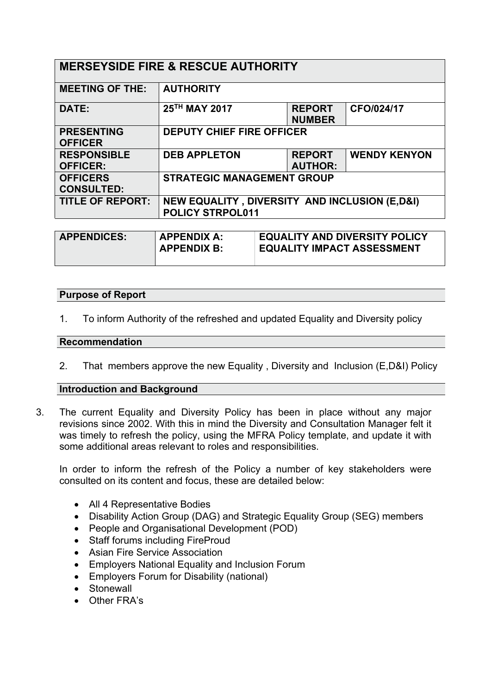| <b>MERSEYSIDE FIRE &amp; RESCUE AUTHORITY</b> |                                                                                     |                                 |                     |  |
|-----------------------------------------------|-------------------------------------------------------------------------------------|---------------------------------|---------------------|--|
| <b>MEETING OF THE:</b>                        | <b>AUTHORITY</b>                                                                    |                                 |                     |  |
| DATE:                                         | 25TH MAY 2017                                                                       | <b>REPORT</b><br><b>NUMBER</b>  | CFO/024/17          |  |
| <b>PRESENTING</b><br><b>OFFICER</b>           | <b>DEPUTY CHIEF FIRE OFFICER</b>                                                    |                                 |                     |  |
| <b>RESPONSIBLE</b><br><b>OFFICER:</b>         | <b>DEB APPLETON</b>                                                                 | <b>REPORT</b><br><b>AUTHOR:</b> | <b>WENDY KENYON</b> |  |
| <b>OFFICERS</b><br><b>CONSULTED:</b>          | <b>STRATEGIC MANAGEMENT GROUP</b>                                                   |                                 |                     |  |
| <b>TITLE OF REPORT:</b>                       | <b>NEW EQUALITY, DIVERSITY AND INCLUSION (E,D&amp;I)</b><br><b>POLICY STRPOL011</b> |                                 |                     |  |

| <b>APPENDICES:</b> | <b>APPENDIX A:</b><br><b>APPENDIX B:</b> | <b>EQUALITY AND DIVERSITY POLICY</b><br><b>EQUALITY IMPACT ASSESSMENT</b> |
|--------------------|------------------------------------------|---------------------------------------------------------------------------|
|                    |                                          |                                                                           |

### **Purpose of Report**

1. To inform Authority of the refreshed and updated Equality and Diversity policy

### **Recommendation**

2. That members approve the new Equality , Diversity and Inclusion (E,D&I) Policy

# **Introduction and Background**

3. The current Equality and Diversity Policy has been in place without any major revisions since 2002. With this in mind the Diversity and Consultation Manager felt it was timely to refresh the policy, using the MFRA Policy template, and update it with some additional areas relevant to roles and responsibilities.

In order to inform the refresh of the Policy a number of key stakeholders were consulted on its content and focus, these are detailed below:

- All 4 Representative Bodies
- Disability Action Group (DAG) and Strategic Equality Group (SEG) members
- People and Organisational Development (POD)
- Staff forums including FireProud
- Asian Fire Service Association
- Employers National Equality and Inclusion Forum
- Employers Forum for Disability (national)
- Stonewall
- Other FRA's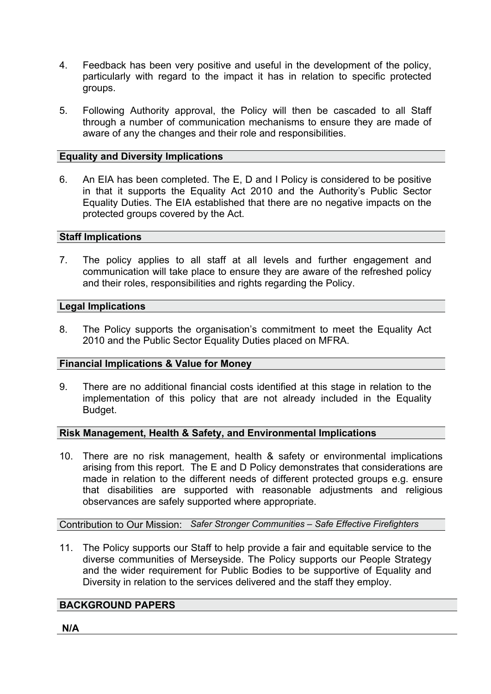- 4. Feedback has been very positive and useful in the development of the policy, particularly with regard to the impact it has in relation to specific protected groups.
- 5. Following Authority approval, the Policy will then be cascaded to all Staff through a number of communication mechanisms to ensure they are made of aware of any the changes and their role and responsibilities.

# **Equality and Diversity Implications**

6. An EIA has been completed. The E, D and I Policy is considered to be positive in that it supports the Equality Act 2010 and the Authority's Public Sector Equality Duties. The EIA established that there are no negative impacts on the protected groups covered by the Act.

### **Staff Implications**

7. The policy applies to all staff at all levels and further engagement and communication will take place to ensure they are aware of the refreshed policy and their roles, responsibilities and rights regarding the Policy.

# **Legal Implications**

8. The Policy supports the organisation's commitment to meet the Equality Act 2010 and the Public Sector Equality Duties placed on MFRA.

# **Financial Implications & Value for Money**

9. There are no additional financial costs identified at this stage in relation to the implementation of this policy that are not already included in the Equality Budget.

# **Risk Management, Health & Safety, and Environmental Implications**

10. There are no risk management, health & safety or environmental implications arising from this report. The E and D Policy demonstrates that considerations are made in relation to the different needs of different protected groups e.g. ensure that disabilities are supported with reasonable adjustments and religious observances are safely supported where appropriate.

Contribution to Our Mission: *Safer Stronger Communities – Safe Effective Firefighters*

11. The Policy supports our Staff to help provide a fair and equitable service to the diverse communities of Merseyside. The Policy supports our People Strategy and the wider requirement for Public Bodies to be supportive of Equality and Diversity in relation to the services delivered and the staff they employ.

# **BACKGROUND PAPERS**